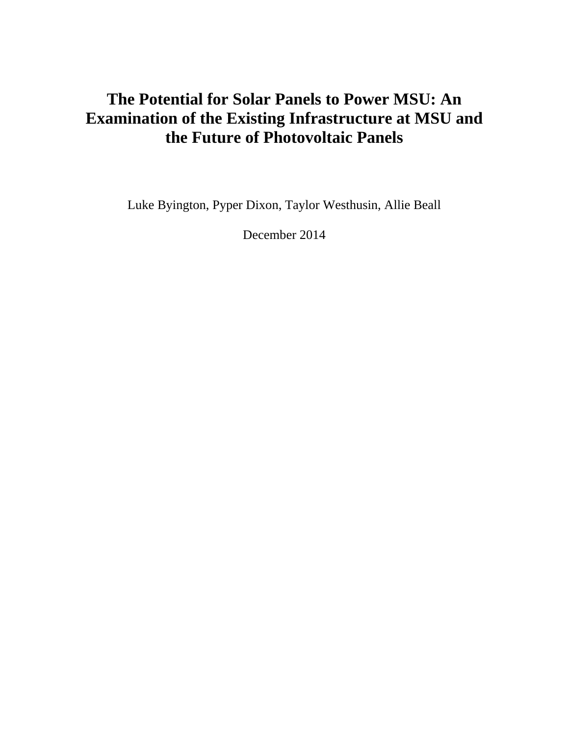# **The Potential for Solar Panels to Power MSU: An Examination of the Existing Infrastructure at MSU and the Future of Photovoltaic Panels**

Luke Byington, Pyper Dixon, Taylor Westhusin, Allie Beall

December 2014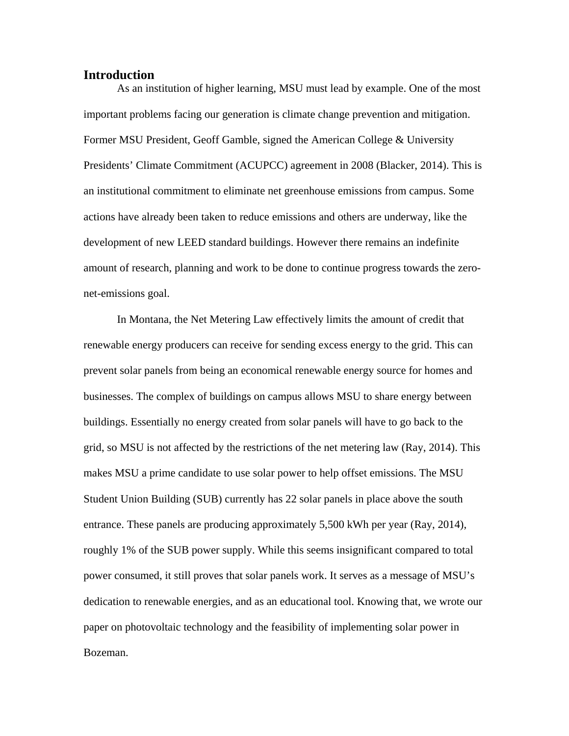### **Introduction**

 important problems facing our generation is climate change prevention and mitigation. Former MSU President, Geoff Gamble, signed the American College & University As an institution of higher learning, MSU must lead by example. One of the most Presidents' Climate Commitment (ACUPCC) agreement in 2008 (Blacker, 2014). This is an institutional commitment to eliminate net greenhouse emissions from campus. Some actions have already been taken to reduce emissions and others are underway, like the development of new LEED standard buildings. However there remains an indefinite amount of research, planning and work to be done to continue progress towards the zeronet-emissions goal.

In Montana, the Net Metering Law effectively limits the amount of credit that renewable energy producers can receive for sending excess energy to the grid. This can prevent solar panels from being an economical renewable energy source for homes and businesses. The complex of buildings on campus allows MSU to share energy between buildings. Essentially no energy created from solar panels will have to go back to the grid, so MSU is not affected by the restrictions of the net metering law (Ray, 2014). This makes MSU a prime candidate to use solar power to help offset emissions. The MSU Student Union Building (SUB) currently has 22 solar panels in place above the south entrance. These panels are producing approximately 5,500 kWh per year (Ray, 2014), roughly 1% of the SUB power supply. While this seems insignificant compared to total power consumed, it still proves that solar panels work. It serves as a message of MSU's dedication to renewable energies, and as an educational tool. Knowing that, we wrote our paper on photovoltaic technology and the feasibility of implementing solar power in Bozeman.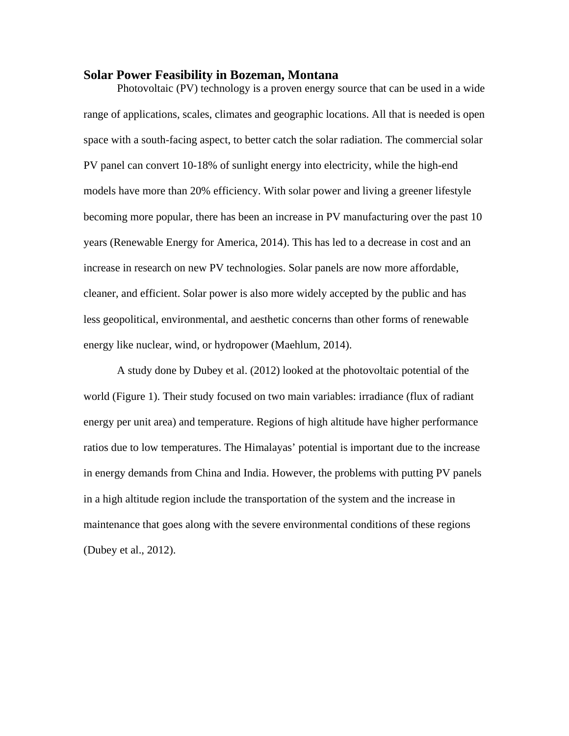#### **Solar Power Feasibility in Bozeman, Montana**

Photovoltaic (PV) technology is a proven energy source that can be used in a wide range of applications, scales, climates and geographic locations. All that is needed is open space with a south-facing aspect, to better catch the solar radiation. The commercial solar PV panel can convert 10-18% of sunlight energy into electricity, while the high-end models have more than 20% efficiency. With solar power and living a greener lifestyle becoming more popular, there has been an increase in PV manufacturing over the past 10 years (Renewable Energy for America, 2014). This has led to a decrease in cost and an increase in research on new PV technologies. Solar panels are now more affordable, cleaner, and efficient. Solar power is also more widely accepted by the public and has less geopolitical, environmental, and aesthetic concerns than other forms of renewable energy like nuclear, wind, or hydropower (Maehlum, 2014).

A study done by Dubey et al. (2012) looked at the photovoltaic potential of the world (Figure 1). Their study focused on two main variables: irradiance (flux of radiant energy per unit area) and temperature. Regions of high altitude have higher performance ratios due to low temperatures. The Himalayas' potential is important due to the increase in energy demands from China and India. However, the problems with putting PV panels in a high altitude region include the transportation of the system and the increase in maintenance that goes along with the severe environmental conditions of these regions (Dubey et al., 2012).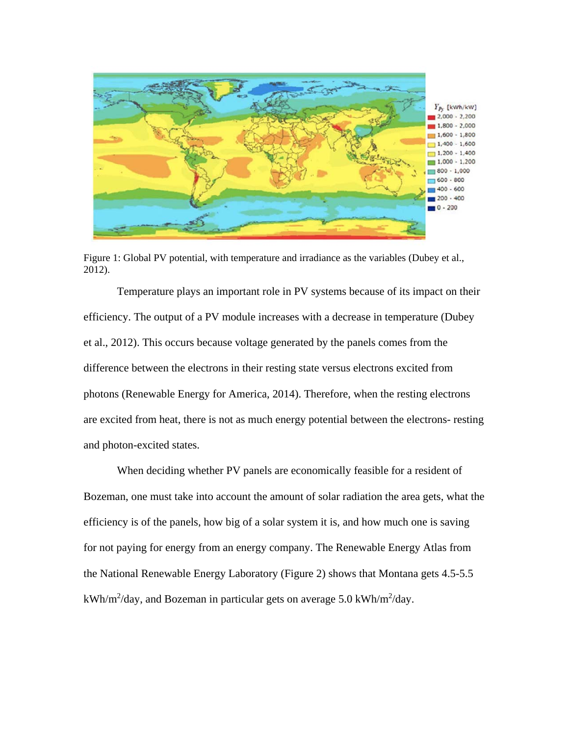

Figure 1: Global PV potential, with temperature and irradiance as the variables (Dubey et al., 2012).

Temperature plays an important role in PV systems because of its impact on their efficiency. The output of a PV module increases with a decrease in temperature (Dubey et al., 2012). This occurs because voltage generated by the panels comes from the difference between the electrons in their resting state versus electrons excited from photons (Renewable Energy for America, 2014). Therefore, when the resting electrons are excited from heat, there is not as much energy potential between the electrons- resting and photon-excited states.

When deciding whether PV panels are economically feasible for a resident of Bozeman, one must take into account the amount of solar radiation the area gets, what the efficiency is of the panels, how big of a solar system it is, and how much one is saving for not paying for energy from an energy company. The Renewable Energy Atlas from the National Renewable Energy Laboratory (Figure 2) shows that Montana gets 4.5-5.5 kWh/m<sup>2</sup>/day, and Bozeman in particular gets on average 5.0 kWh/m<sup>2</sup>/day.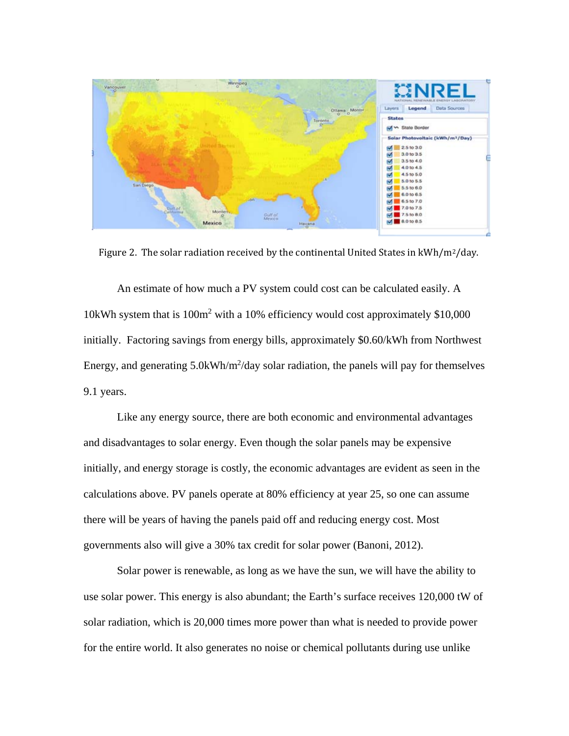

Figure 2. The solar radiation received by the continental United States in  $kWh/m^2/day$ .

An estimate of how much a PV system could cost can be calculated easily. A 10kWh system that is 100m<sup>2</sup> with a 10% efficiency would cost approximately \$10,000 initially. Factoring savings from energy bills, approximately \$0.60/kWh from Northwest Energy, and generating  $5.0$ kWh/m<sup>2</sup>/day solar radiation, the panels will pay for themselves 9.1 years.

Like any energy source, there are both economic and environmental advantages and disadvantages to solar energy. Even though the solar panels may be expensive initially, and energy storage is costly, the economic advantages are evident as seen in the calculations above. PV panels operate at 80% efficiency at year 25, so one can assume there will be years of having the panels paid off and reducing energy cost. Most governments also will give a 30% tax credit for solar power (Banoni, 2012).

Solar power is renewable, as long as we have the sun, we will have the ability to use solar power. This energy is also abundant; the Earth's surface receives 120,000 tW of solar radiation, which is 20,000 times more power than what is needed to provide power for the entire world. It also generates no noise or chemical pollutants during use unlike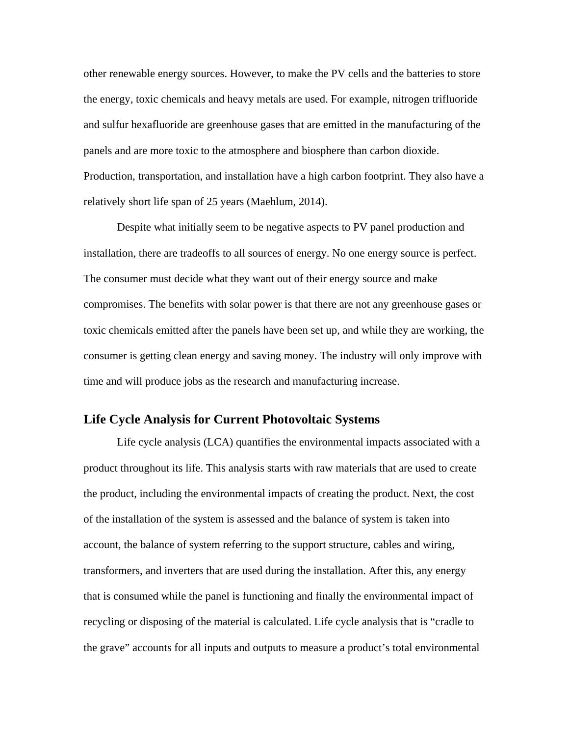other renewable energy sources. However, to make the PV cells and the batteries to store the energy, toxic chemicals and heavy metals are used. For example, nitrogen trifluoride and sulfur hexafluoride are greenhouse gases that are emitted in the manufacturing of the panels and are more toxic to the atmosphere and biosphere than carbon dioxide. Production, transportation, and installation have a high carbon footprint. They also have a relatively short life span of 25 years (Maehlum, 2014).

Despite what initially seem to be negative aspects to PV panel production and installation, there are tradeoffs to all sources of energy. No one energy source is perfect. The consumer must decide what they want out of their energy source and make compromises. The benefits with solar power is that there are not any greenhouse gases or toxic chemicals emitted after the panels have been set up, and while they are working, the consumer is getting clean energy and saving money. The industry will only improve with time and will produce jobs as the research and manufacturing increase.

# **Life Cycle Analysis for Current Photovoltaic Systems**

Life cycle analysis (LCA) quantifies the environmental impacts associated with a product throughout its life. This analysis starts with raw materials that are used to create the product, including the environmental impacts of creating the product. Next, the cost of the installation of the system is assessed and the balance of system is taken into account, the balance of system referring to the support structure, cables and wiring, transformers, and inverters that are used during the installation. After this, any energy that is consumed while the panel is functioning and finally the environmental impact of recycling or disposing of the material is calculated. Life cycle analysis that is "cradle to the grave" accounts for all inputs and outputs to measure a product's total environmental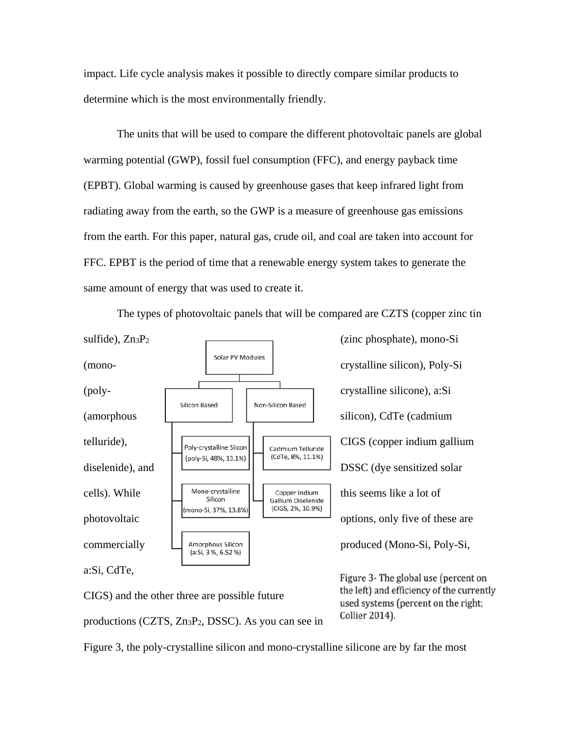impact. Life cycle analysis makes it possible to directly compare similar products to determine which is the most environmentally friendly.

The units that will be used to compare the different photovoltaic panels are global warming potential (GWP), fossil fuel consumption (FFC), and energy payback time (EPBT). Global warming is caused by greenhouse gases that keep infrared light from radiating away from the earth, so the GWP is a measure of greenhouse gas emissions from the earth. For this paper, natural gas, crude oil, and coal are taken into account for FFC. EPBT is the period of time that a renewable energy system takes to generate the same amount of energy that was used to create it.



The types of photovoltaic panels that will be compared are CZTS (copper zinc tin

CIGS) and the other three are possible future productions (CZTS, Zn3P2, DSSC). As you can see in Figure 3- The global use (percent on the left) and efficiency of the currently used systems (percent on the right; **Collier 2014).** 

Figure 3, the poly-crystalline silicon and mono-crystalline silicone are by far the most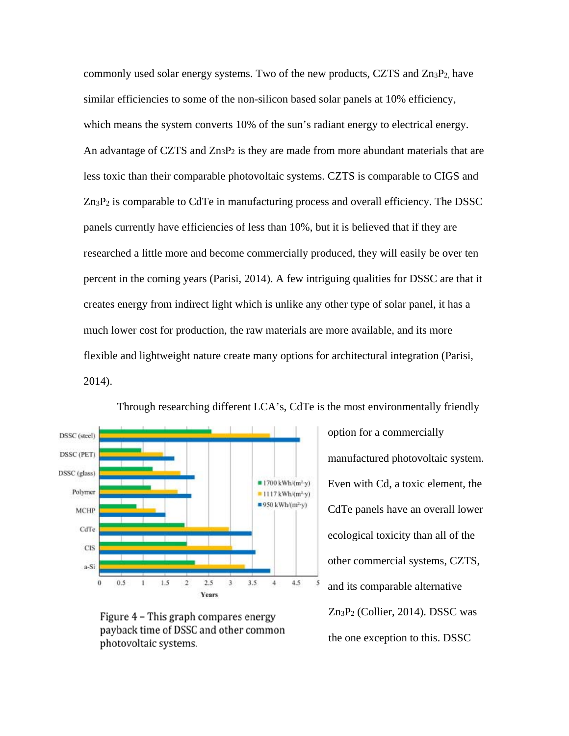commonly used solar energy systems. Two of the new products, CZTS and  $Zn_3P_2$ , have similar efficiencies to some of the non-silicon based solar panels at 10% efficiency, which means the system converts 10% of the sun's radiant energy to electrical energy. An advantage of CZTS and  $Zn_3P_2$  is they are made from more abundant materials that are less toxic than their comparable photovoltaic systems. CZTS is comparable to CIGS and  $Zn_3P_2$  is comparable to CdTe in manufacturing process and overall efficiency. The DSSC panels currently have efficiencies of less than 10%, but it is believed that if they are researched a little more and become commercially produced, they will easily be over ten percent in the coming years (Parisi, 2014). A few intriguing qualities for DSSC are that it creates energy from indirect light which is unlike any other type of solar panel, it has a much lower cost for production, the raw materials are more available, and its more flexible and lightweight nature create many options for architectural integration (Parisi, 2014).



Through researching different LCA's, CdTe is the most environmentally friendly

Figure 4 - This graph compares energy payback time of DSSC and other common photovoltaic systems.

option for a commercially manufactured photovoltaic system. Even with Cd, a toxic element, the CdTe panels have an overall lower ecological toxicity than all of the other commercial systems, CZTS, and its comparable alternative Zn3P2 (Collier, 2014). DSSC was the one exception to this. DSSC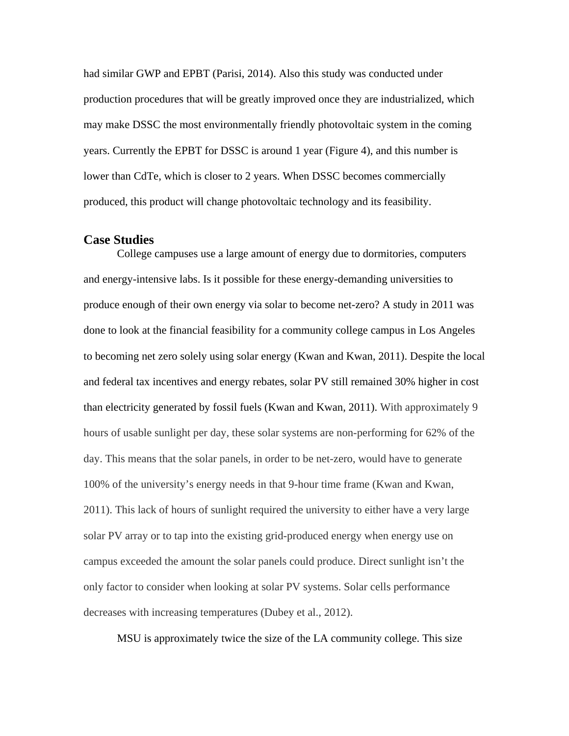had similar GWP and EPBT (Parisi, 2014). Also this study was conducted under production procedures that will be greatly improved once they are industrialized, which may make DSSC the most environmentally friendly photovoltaic system in the coming years. Currently the EPBT for DSSC is around 1 year (Figure 4), and this number is lower than CdTe, which is closer to 2 years. When DSSC becomes commercially produced, this product will change photovoltaic technology and its feasibility.

# **Case Studies**

College campuses use a large amount of energy due to dormitories, computers and energy-intensive labs. Is it possible for these energy-demanding universities to produce enough of their own energy via solar to become net-zero? A study in 2011 was done to look at the financial feasibility for a community college campus in Los Angeles to becoming net zero solely using solar energy (Kwan and Kwan, 2011). Despite the local and federal tax incentives and energy rebates, solar PV still remained 30% higher in cost than electricity generated by fossil fuels (Kwan and Kwan, 2011). With approximately 9 hours of usable sunlight per day, these solar systems are non-performing for 62% of the day. This means that the solar panels, in order to be net-zero, would have to generate 100% of the university's energy needs in that 9-hour time frame (Kwan and Kwan, 2011). This lack of hours of sunlight required the university to either have a very large solar PV array or to tap into the existing grid-produced energy when energy use on campus exceeded the amount the solar panels could produce. Direct sunlight isn't the only factor to consider when looking at solar PV systems. Solar cells performance decreases with increasing temperatures (Dubey et al., 2012).

MSU is approximately twice the size of the LA community college. This size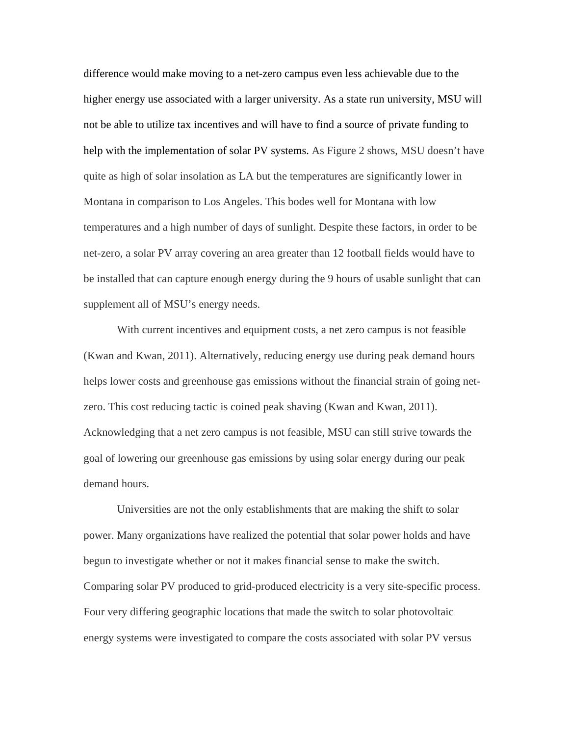difference would make moving to a net-zero campus even less achievable due to the higher energy use associated with a larger university. As a state run university, MSU will not be able to utilize tax incentives and will have to find a source of private funding to help with the implementation of solar PV systems. As Figure 2 shows, MSU doesn't have quite as high of solar insolation as LA but the temperatures are significantly lower in Montana in comparison to Los Angeles. This bodes well for Montana with low temperatures and a high number of days of sunlight. Despite these factors, in order to be net-zero, a solar PV array covering an area greater than 12 football fields would have to be installed that can capture enough energy during the 9 hours of usable sunlight that can supplement all of MSU's energy needs.

With current incentives and equipment costs, a net zero campus is not feasible (Kwan and Kwan, 2011). Alternatively, reducing energy use during peak demand hours helps lower costs and greenhouse gas emissions without the financial strain of going netzero. This cost reducing tactic is coined peak shaving (Kwan and Kwan, 2011). Acknowledging that a net zero campus is not feasible, MSU can still strive towards the goal of lowering our greenhouse gas emissions by using solar energy during our peak demand hours.

Universities are not the only establishments that are making the shift to solar power. Many organizations have realized the potential that solar power holds and have begun to investigate whether or not it makes financial sense to make the switch. Comparing solar PV produced to grid-produced electricity is a very site-specific process. Four very differing geographic locations that made the switch to solar photovoltaic energy systems were investigated to compare the costs associated with solar PV versus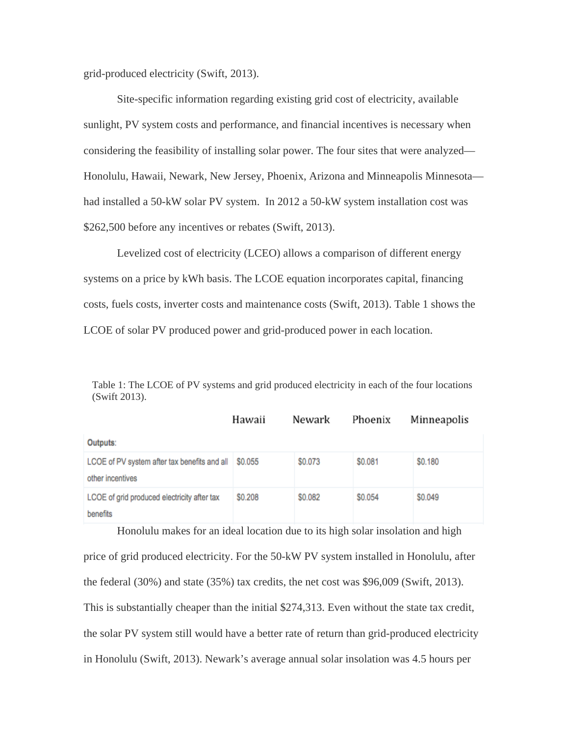grid-produced electricity (Swift, 2013).

Site-specific information regarding existing grid cost of electricity, available sunlight, PV system costs and performance, and financial incentives is necessary when considering the feasibility of installing solar power. The four sites that were analyzed— Honolulu, Hawaii, Newark, New Jersey, Phoenix, Arizona and Minneapolis Minnesota had installed a 50-kW solar PV system. In 2012 a 50-kW system installation cost was \$262,500 before any incentives or rebates (Swift, 2013).

Levelized cost of electricity (LCEO) allows a comparison of different energy systems on a price by kWh basis. The LCOE equation incorporates capital, financing costs, fuels costs, inverter costs and maintenance costs (Swift, 2013). Table 1 shows the LCOE of solar PV produced power and grid-produced power in each location.

| Table 1: The LCOE of PV systems and grid produced electricity in each of the four locations |  |  |
|---------------------------------------------------------------------------------------------|--|--|
| $(Swift 2013)$ .                                                                            |  |  |

|                                                                  | Hawaii        | Newark  | Phoenix | Minneapolis |
|------------------------------------------------------------------|---------------|---------|---------|-------------|
| Outputs:                                                         |               |         |         |             |
| LCOE of PV system after tax benefits and all<br>other incentives | \$0.055       | \$0.073 | \$0.081 | \$0.180     |
| LCOE of grid produced electricity after tax<br>benefits          | <b>SO.208</b> | \$0.082 | \$0.054 | \$0.049     |

Honolulu makes for an ideal location due to its high solar insolation and high price of grid produced electricity. For the 50-kW PV system installed in Honolulu, after the federal (30%) and state (35%) tax credits, the net cost was \$96,009 (Swift, 2013). This is substantially cheaper than the initial \$274,313. Even without the state tax credit, the solar PV system still would have a better rate of return than grid-produced electricity in Honolulu (Swift, 2013). Newark's average annual solar insolation was 4.5 hours per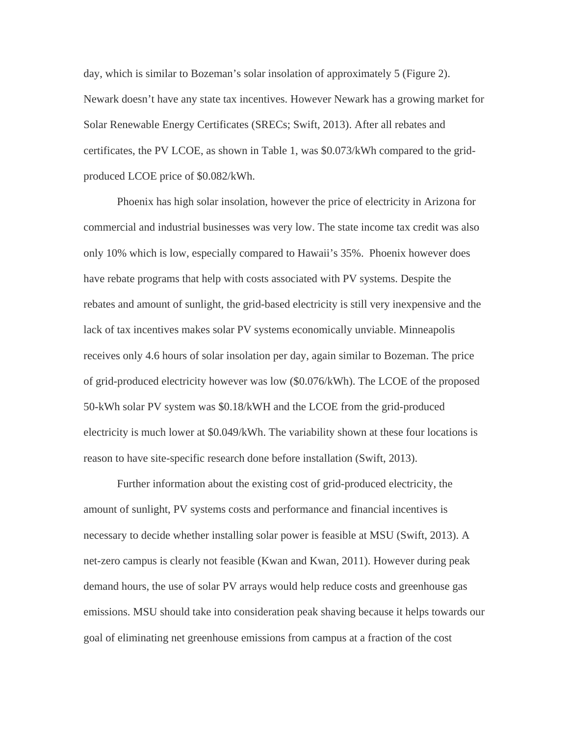day, which is similar to Bozeman's solar insolation of approximately 5 (Figure 2). Newark doesn't have any state tax incentives. However Newark has a growing market for Solar Renewable Energy Certificates (SRECs; Swift, 2013). After all rebates and certificates, the PV LCOE, as shown in Table 1, was \$0.073/kWh compared to the gridproduced LCOE price of \$0.082/kWh.

Phoenix has high solar insolation, however the price of electricity in Arizona for commercial and industrial businesses was very low. The state income tax credit was also only 10% which is low, especially compared to Hawaii's 35%. Phoenix however does have rebate programs that help with costs associated with PV systems. Despite the rebates and amount of sunlight, the grid-based electricity is still very inexpensive and the lack of tax incentives makes solar PV systems economically unviable. Minneapolis receives only 4.6 hours of solar insolation per day, again similar to Bozeman. The price of grid-produced electricity however was low (\$0.076/kWh). The LCOE of the proposed 50-kWh solar PV system was \$0.18/kWH and the LCOE from the grid-produced electricity is much lower at \$0.049/kWh. The variability shown at these four locations is reason to have site-specific research done before installation (Swift, 2013).

Further information about the existing cost of grid-produced electricity, the amount of sunlight, PV systems costs and performance and financial incentives is necessary to decide whether installing solar power is feasible at MSU (Swift, 2013). A net-zero campus is clearly not feasible (Kwan and Kwan, 2011). However during peak demand hours, the use of solar PV arrays would help reduce costs and greenhouse gas emissions. MSU should take into consideration peak shaving because it helps towards our goal of eliminating net greenhouse emissions from campus at a fraction of the cost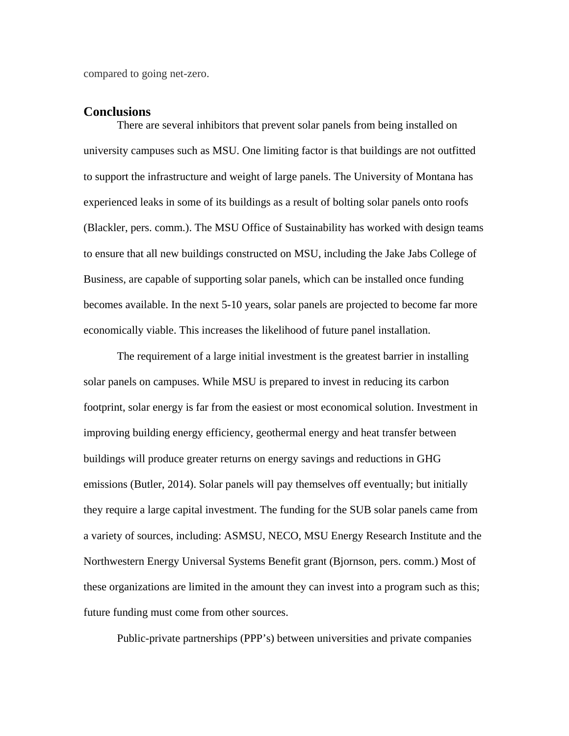compared to going net-zero.

# **Conclusions**

There are several inhibitors that prevent solar panels from being installed on university campuses such as MSU. One limiting factor is that buildings are not outfitted to support the infrastructure and weight of large panels. The University of Montana has experienced leaks in some of its buildings as a result of bolting solar panels onto roofs (Blackler, pers. comm.). The MSU Office of Sustainability has worked with design teams to ensure that all new buildings constructed on MSU, including the Jake Jabs College of Business, are capable of supporting solar panels, which can be installed once funding becomes available. In the next 5-10 years, solar panels are projected to become far more economically viable. This increases the likelihood of future panel installation.

The requirement of a large initial investment is the greatest barrier in installing solar panels on campuses. While MSU is prepared to invest in reducing its carbon footprint, solar energy is far from the easiest or most economical solution. Investment in improving building energy efficiency, geothermal energy and heat transfer between buildings will produce greater returns on energy savings and reductions in GHG emissions (Butler, 2014). Solar panels will pay themselves off eventually; but initially they require a large capital investment. The funding for the SUB solar panels came from a variety of sources, including: ASMSU, NECO, MSU Energy Research Institute and the Northwestern Energy Universal Systems Benefit grant (Bjornson, pers. comm.) Most of these organizations are limited in the amount they can invest into a program such as this; future funding must come from other sources.

Public-private partnerships (PPP's) between universities and private companies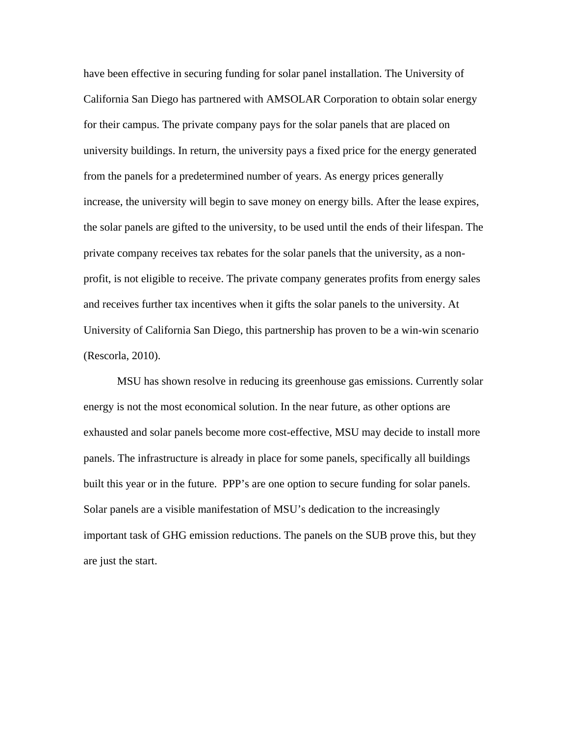have been effective in securing funding for solar panel installation. The University of California San Diego has partnered with AMSOLAR Corporation to obtain solar energy for their campus. The private company pays for the solar panels that are placed on university buildings. In return, the university pays a fixed price for the energy generated from the panels for a predetermined number of years. As energy prices generally increase, the university will begin to save money on energy bills. After the lease expires, the solar panels are gifted to the university, to be used until the ends of their lifespan. The private company receives tax rebates for the solar panels that the university, as a nonprofit, is not eligible to receive. The private company generates profits from energy sales and receives further tax incentives when it gifts the solar panels to the university. At University of California San Diego, this partnership has proven to be a win-win scenario (Rescorla, 2010).

MSU has shown resolve in reducing its greenhouse gas emissions. Currently solar energy is not the most economical solution. In the near future, as other options are exhausted and solar panels become more cost-effective, MSU may decide to install more panels. The infrastructure is already in place for some panels, specifically all buildings built this year or in the future. PPP's are one option to secure funding for solar panels. Solar panels are a visible manifestation of MSU's dedication to the increasingly important task of GHG emission reductions. The panels on the SUB prove this, but they are just the start.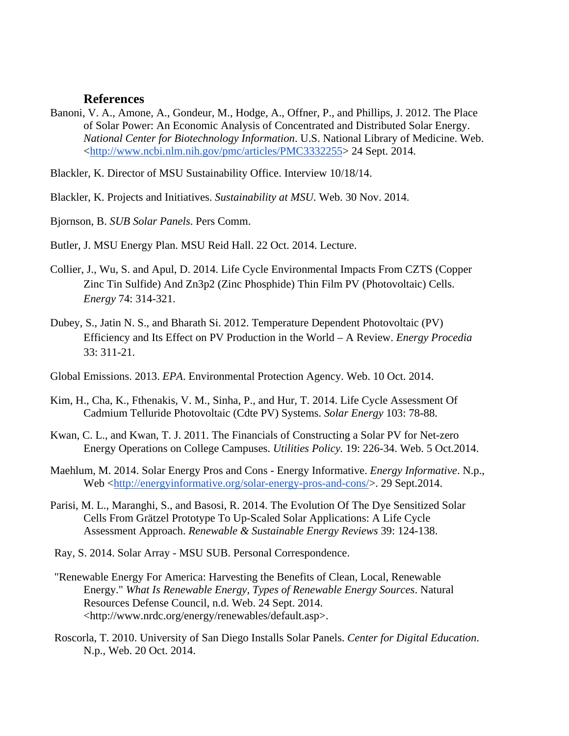# **References**

Banoni, V. A., Amone, A., Gondeur, M., Hodge, A., Offner, P., and Phillips, J. 2012. The Place of Solar Power: An Economic Analysis of Concentrated and Distributed Solar Energy. *National Center for Biotechnology Information*. U.S. National Library of Medicine. Web. <http://www.ncbi.nlm.nih.gov/pmc/articles/PMC3332255> 24 Sept. 2014.

Blackler, K. Director of MSU Sustainability Office. Interview 10/18/14.

Blackler, K. Projects and Initiatives. *Sustainability at MSU*. Web. 30 Nov. 2014.

Bjornson, B. *SUB Solar Panels*. Pers Comm.

Butler, J. MSU Energy Plan. MSU Reid Hall. 22 Oct. 2014. Lecture.

- Collier, J., Wu, S. and Apul, D. 2014. Life Cycle Environmental Impacts From CZTS (Copper Zinc Tin Sulfide) And Zn3p2 (Zinc Phosphide) Thin Film PV (Photovoltaic) Cells. *Energy* 74: 314-321.
- Dubey, S., Jatin N. S., and Bharath Si. 2012. Temperature Dependent Photovoltaic (PV) Efficiency and Its Effect on PV Production in the World – A Review. *Energy Procedia*  33: 311-21.
- Global Emissions. 2013. *EPA*. Environmental Protection Agency. Web. 10 Oct. 2014.
- Kim, H., Cha, K., Fthenakis, V. M., Sinha, P., and Hur, T. 2014. Life Cycle Assessment Of Cadmium Telluride Photovoltaic (Cdte PV) Systems. *Solar Energy* 103: 78-88.
- Kwan, C. L., and Kwan, T. J. 2011. The Financials of Constructing a Solar PV for Net-zero Energy Operations on College Campuses. *Utilities Policy.* 19: 226-34. Web. 5 Oct.2014.
- Maehlum, M. 2014. Solar Energy Pros and Cons Energy Informative. *Energy Informative*. N.p., Web <http://energyinformative.org/solar-energy-pros-and-cons/>. 29 Sept.2014.
- Parisi, M. L., Maranghi, S., and Basosi, R. 2014. The Evolution Of The Dye Sensitized Solar Cells From Grätzel Prototype To Up-Scaled Solar Applications: A Life Cycle Assessment Approach. *Renewable & Sustainable Energy Reviews* 39: 124-138.
- Ray, S. 2014. Solar Array MSU SUB. Personal Correspondence.
- "Renewable Energy For America: Harvesting the Benefits of Clean, Local, Renewable Energy." *What Is Renewable Energy, Types of Renewable Energy Sources*. Natural Resources Defense Council, n.d. Web. 24 Sept. 2014. <http://www.nrdc.org/energy/renewables/default.asp>.
- Roscorla, T. 2010. University of San Diego Installs Solar Panels. *Center for Digital Education*. N.p., Web. 20 Oct. 2014.